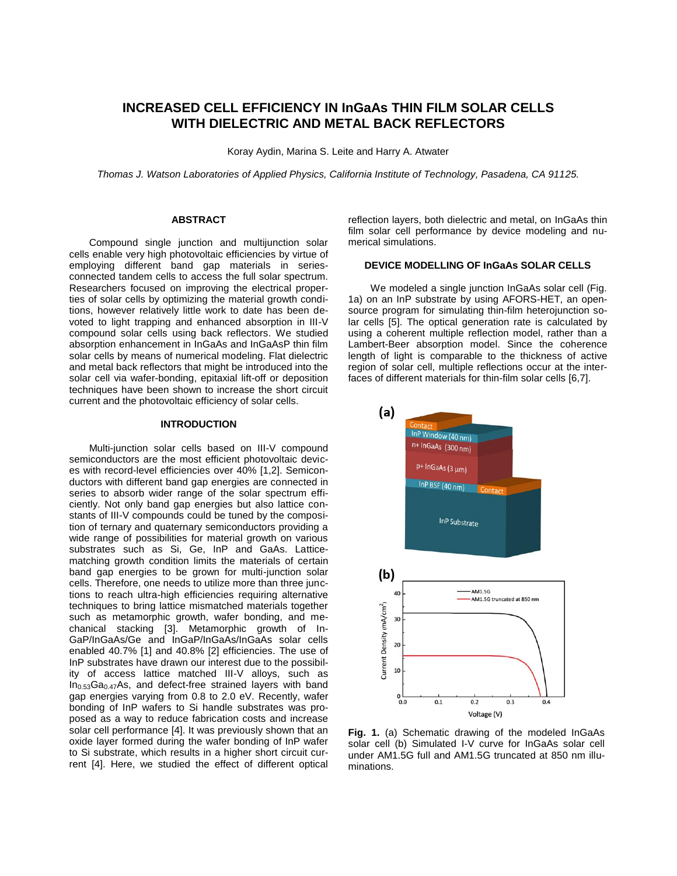# **INCREASED CELL EFFICIENCY IN InGaAs THIN FILM SOLAR CELLS WITH DIELECTRIC AND METAL BACK REFLECTORS**

Koray Aydin, Marina S. Leite and Harry A. Atwater

*Thomas J. Watson Laboratories of Applied Physics, California Institute of Technology, Pasadena, CA 91125.*

### **ABSTRACT**

Compound single junction and multijunction solar cells enable very high photovoltaic efficiencies by virtue of employing different band gap materials in seriesconnected tandem cells to access the full solar spectrum. Researchers focused on improving the electrical properties of solar cells by optimizing the material growth conditions, however relatively little work to date has been devoted to light trapping and enhanced absorption in III-V compound solar cells using back reflectors. We studied absorption enhancement in InGaAs and InGaAsP thin film solar cells by means of numerical modeling. Flat dielectric and metal back reflectors that might be introduced into the solar cell via wafer-bonding, epitaxial lift-off or deposition techniques have been shown to increase the short circuit current and the photovoltaic efficiency of solar cells.

### **INTRODUCTION**

Multi-junction solar cells based on III-V compound semiconductors are the most efficient photovoltaic devices with record-level efficiencies over 40% [1,2]. Semiconductors with different band gap energies are connected in series to absorb wider range of the solar spectrum efficiently. Not only band gap energies but also lattice constants of III-V compounds could be tuned by the composition of ternary and quaternary semiconductors providing a wide range of possibilities for material growth on various substrates such as Si, Ge, InP and GaAs. Latticematching growth condition limits the materials of certain band gap energies to be grown for multi-junction solar cells. Therefore, one needs to utilize more than three junctions to reach ultra-high efficiencies requiring alternative techniques to bring lattice mismatched materials together such as metamorphic growth, wafer bonding, and mechanical stacking [3]. Metamorphic growth of In-GaP/InGaAs/Ge and InGaP/InGaAs/InGaAs solar cells enabled 40.7% [1] and 40.8% [2] efficiencies. The use of InP substrates have drawn our interest due to the possibility of access lattice matched III-V alloys, such as In0.53Ga0.47As, and defect-free strained layers with band gap energies varying from 0.8 to 2.0 eV. Recently, wafer bonding of InP wafers to Si handle substrates was proposed as a way to reduce fabrication costs and increase solar cell performance [4]. It was previously shown that an oxide layer formed during the wafer bonding of InP wafer to Si substrate, which results in a higher short circuit current [4]. Here, we studied the effect of different optical

reflection layers, both dielectric and metal, on InGaAs thin film solar cell performance by device modeling and numerical simulations.

### **DEVICE MODELLING OF InGaAs SOLAR CELLS**

 We modeled a single junction InGaAs solar cell (Fig. 1a) on an InP substrate by using AFORS-HET, an opensource program for simulating thin-film heterojunction solar cells [5]. The optical generation rate is calculated by using a coherent multiple reflection model, rather than a Lambert-Beer absorption model. Since the coherence length of light is comparable to the thickness of active region of solar cell, multiple reflections occur at the interfaces of different materials for thin-film solar cells [6,7].



 $\overline{a}$ **Fig. 1.** (a) Schematic drawing of the modeled InGaAs solar cell (b) Simulated I-V curve for InGaAs solar cell under AM1.5G full and AM1.5G truncated at 850 nm illuminations.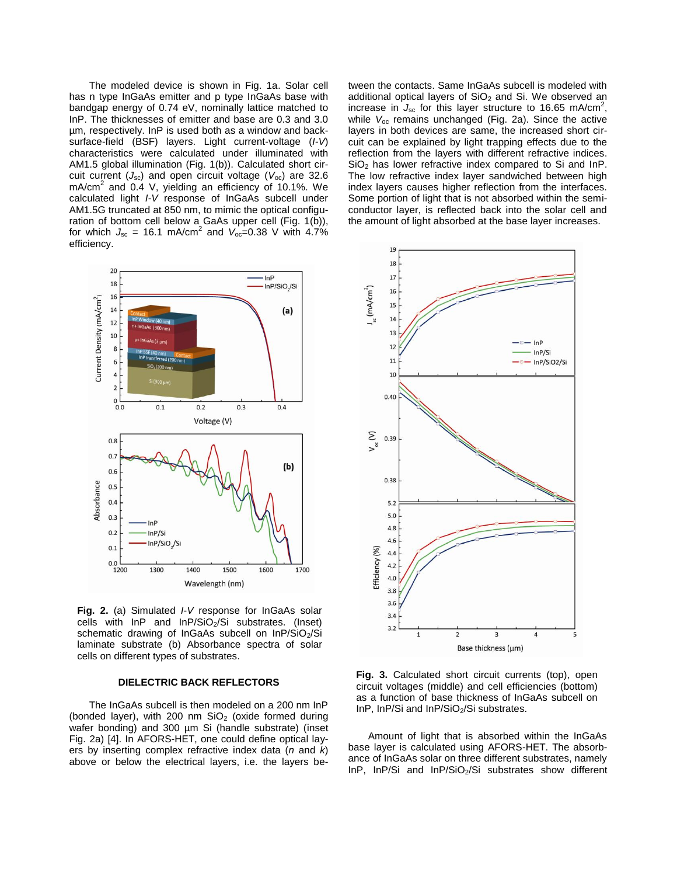The modeled device is shown in Fig. 1a. Solar cell has n type InGaAs emitter and p type InGaAs base with bandgap energy of 0.74 eV, nominally lattice matched to InP. The thicknesses of emitter and base are 0.3 and 3.0 µm, respectively. InP is used both as a window and backsurface-field (BSF) layers. Light current-voltage (*I-V*) characteristics were calculated under illuminated with AM1.5 global illumination (Fig. 1(b)). Calculated short circuit current (*J*sc) and open circuit voltage (*V*oc) are 32.6  $mA/cm<sup>2</sup>$  and 0.4 V, yielding an efficiency of 10.1%. We calculated light *I-V* response of InGaAs subcell under AM1.5G truncated at 850 nm, to mimic the optical configuration of bottom cell below a GaAs upper cell (Fig. 1(b)), for which  $J_{\rm sc} = 16.1 \text{ mA/cm}^2$  and  $V_{\rm oc} = 0.38 \text{ V}$  with 4.7% efficiency.



**Fig. 2.** (a) Simulated *I*-*V* response for InGaAs solar cells with  $InP$  and  $InP/SiO<sub>2</sub>/Si$  substrates. (Inset) schematic drawing of InGaAs subcell on InP/SiO2/Si laminate substrate (b) Absorbance spectra of solar cells on different types of substrates.

### **DIELECTRIC BACK REFLECTORS**

The InGaAs subcell is then modeled on a 200 nm InP (bonded layer), with 200 nm  $SiO<sub>2</sub>$  (oxide formed during wafer bonding) and 300 um Si (handle substrate) (inset Fig. 2a) [4]. In AFORS-HET, one could define optical layers by inserting complex refractive index data (*n* and *k*) above or below the electrical layers, i.e. the layers between the contacts. Same InGaAs subcell is modeled with additional optical layers of  $SiO<sub>2</sub>$  and Si. We observed an increase in  $J_{\rm sc}$  for this layer structure to 16.65 mA/cm<sup>2</sup>, while *V*oc remains unchanged (Fig. 2a). Since the active layers in both devices are same, the increased short circuit can be explained by light trapping effects due to the reflection from the layers with different refractive indices. SiO<sub>2</sub> has lower refractive index compared to Si and InP. The low refractive index layer sandwiched between high index layers causes higher reflection from the interfaces. Some portion of light that is not absorbed within the semiconductor layer, is reflected back into the solar cell and the amount of light absorbed at the base layer increases.



**Fig. 3.** Calculated short circuit currents (top), open circuit voltages (middle) and cell efficiencies (bottom) as a function of base thickness of InGaAs subcell on InP, InP/Si and InP/SiO<sub>2</sub>/Si substrates.

Amount of light that is absorbed within the InGaAs base layer is calculated using AFORS-HET. The absorbance of InGaAs solar on three different substrates, namely InP, InP/Si and InP/SiO<sub>2</sub>/Si substrates show different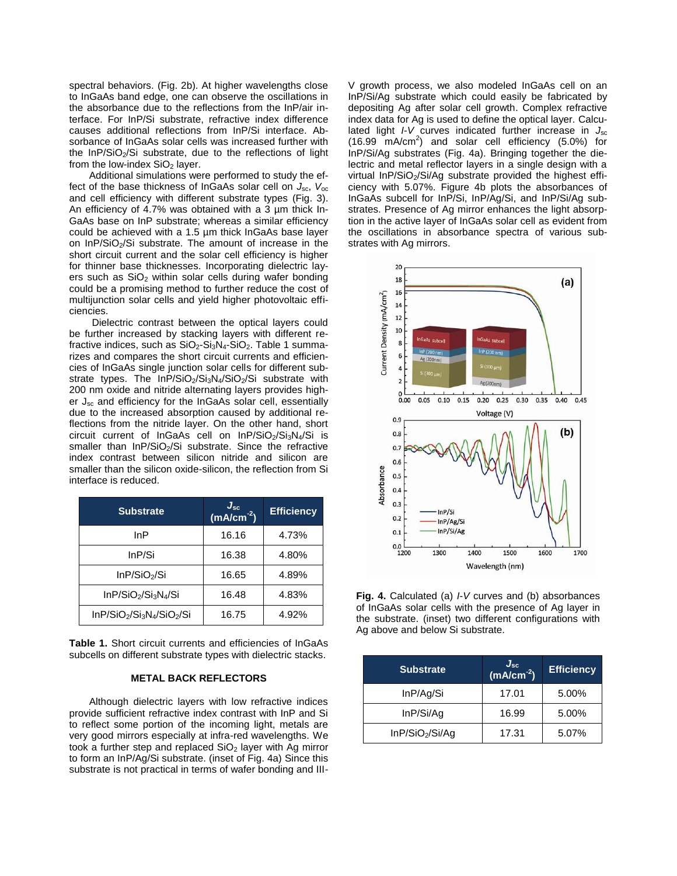spectral behaviors. (Fig. 2b). At higher wavelengths close to InGaAs band edge, one can observe the oscillations in the absorbance due to the reflections from the InP/air interface. For InP/Si substrate, refractive index difference causes additional reflections from InP/Si interface. Absorbance of InGaAs solar cells was increased further with the  $InP/SiO<sub>2</sub>/Si$  substrate, due to the reflections of light from the low-index  $SiO<sub>2</sub>$  layer.

Additional simulations were performed to study the effect of the base thickness of InGaAs solar cell on *J*sc, *V*oc and cell efficiency with different substrate types (Fig. 3). An efficiency of 4.7% was obtained with a 3 µm thick In-GaAs base on InP substrate; whereas a similar efficiency could be achieved with a 1.5 µm thick InGaAs base layer on InP/SiO<sub>2</sub>/Si substrate. The amount of increase in the short circuit current and the solar cell efficiency is higher for thinner base thicknesses. Incorporating dielectric layers such as  $SiO<sub>2</sub>$  within solar cells during wafer bonding could be a promising method to further reduce the cost of multijunction solar cells and yield higher photovoltaic efficiencies.

Dielectric contrast between the optical layers could be further increased by stacking layers with different refractive indices, such as  $SiO<sub>2</sub>-Si<sub>3</sub>N<sub>4</sub>-SiO<sub>2</sub>$ . Table 1 summarizes and compares the short circuit currents and efficiencies of InGaAs single junction solar cells for different substrate types. The  $InP/SiO<sub>2</sub>/Si<sub>3</sub>N<sub>4</sub>/SiO<sub>2</sub>/Si$  substrate with 200 nm oxide and nitride alternating layers provides higher  $J_{\rm sc}$  and efficiency for the InGaAs solar cell, essentially due to the increased absorption caused by additional reflections from the nitride layer. On the other hand, short  $circuit$  current of InGaAs cell on InP/SiO $_2$ /Si $_3$ N $_4$ /Si is smaller than InP/SiO<sub>2</sub>/Si substrate. Since the refractive index contrast between silicon nitride and silicon are smaller than the silicon oxide-silicon, the reflection from Si interface is reduced.

| <b>Substrate</b>                                         | $J_{\rm sc}$ (mA/cm <sup>-2</sup> ) | <b>Efficiency</b> |
|----------------------------------------------------------|-------------------------------------|-------------------|
| InP                                                      | 16.16                               | 4.73%             |
| InP/Si                                                   | 16.38                               | 4.80%             |
| InP/SiO <sub>2</sub> /Si                                 | 16.65                               | 4.89%             |
| InP/SiO <sub>2</sub> /Si <sub>3</sub> N <sub>4</sub> /Si | 16.48                               | 4.83%             |
| $InP/SiO2/Si3N4/SiO2/Si$                                 | 16.75                               | 4.92%             |

**Table 1.** Short circuit currents and efficiencies of InGaAs subcells on different substrate types with dielectric stacks.

## **METAL BACK REFLECTORS**

Although dielectric layers with low refractive indices provide sufficient refractive index contrast with InP and Si to reflect some portion of the incoming light, metals are very good mirrors especially at infra-red wavelengths. We took a further step and replaced  $SiO<sub>2</sub>$  layer with Ag mirror to form an InP/Ag/Si substrate. (inset of Fig. 4a) Since this substrate is not practical in terms of wafer bonding and III- V growth process, we also modeled InGaAs cell on an InP/Si/Ag substrate which could easily be fabricated by depositing Ag after solar cell growth. Complex refractive index data for Ag is used to define the optical layer. Calculated light *I*-*V* curves indicated further increase in *J*sc (16.99  $\text{mA/cm}^2$ ) and solar cell efficiency (5.0%) for InP/Si/Ag substrates (Fig. 4a). Bringing together the dielectric and metal reflector layers in a single design with a virtual InP/SiO<sub>2</sub>/Si/Ag substrate provided the highest efficiency with 5.07%. Figure 4b plots the absorbances of InGaAs subcell for InP/Si, InP/Ag/Si, and InP/Si/Ag substrates. Presence of Ag mirror enhances the light absorption in the active layer of InGaAs solar cell as evident from the oscillations in absorbance spectra of various substrates with Ag mirrors.



**Fig. 4.** Calculated (a) *I*-*V* curves and (b) absorbances of InGaAs solar cells with the presence of Ag layer in the substrate. (inset) two different configurations with Ag above and below Si substrate.

| <b>Substrate</b>            | $J_{\rm sc}$ (mA/cm <sup>-2</sup> ) | <b>Efficiency</b> |
|-----------------------------|-------------------------------------|-------------------|
| InP/Ag/Si                   | 17.01                               | 5.00%             |
| InP/Si/Aq                   | 16.99                               | 5.00%             |
| InP/SiO <sub>2</sub> /Si/Aq | 17.31                               | 5.07%             |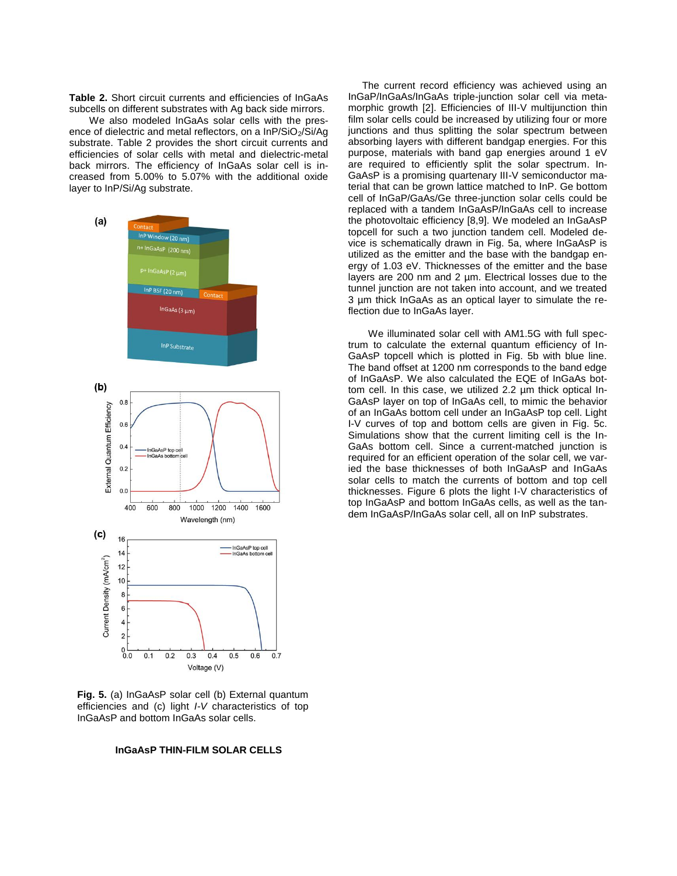**Table 2.** Short circuit currents and efficiencies of InGaAs subcells on different substrates with Ag back side mirrors.

We also modeled InGaAs solar cells with the presence of dielectric and metal reflectors, on a  $InP/SiO<sub>2</sub>/Si/Aq$ substrate. Table 2 provides the short circuit currents and efficiencies of solar cells with metal and dielectric-metal back mirrors. The efficiency of InGaAs solar cell is increased from 5.00% to 5.07% with the additional oxide layer to InP/Si/Ag substrate.



**Fig. 5.** (a) InGaAsP solar cell (b) External quantum efficiencies and (c) light *I-V* characteristics of top InGaAsP and bottom InGaAs solar cells.

### **InGaAsP THIN-FILM SOLAR CELLS**

 The current record efficiency was achieved using an InGaP/InGaAs/InGaAs triple-junction solar cell via metamorphic growth [2]. Efficiencies of III-V multijunction thin film solar cells could be increased by utilizing four or more junctions and thus splitting the solar spectrum between absorbing layers with different bandgap energies. For this purpose, materials with band gap energies around 1 eV are required to efficiently split the solar spectrum. In-GaAsP is a promising quartenary III-V semiconductor material that can be grown lattice matched to InP. Ge bottom cell of InGaP/GaAs/Ge three-junction solar cells could be replaced with a tandem InGaAsP/InGaAs cell to increase the photovoltaic efficiency [8,9]. We modeled an InGaAsP topcell for such a two junction tandem cell. Modeled device is schematically drawn in Fig. 5a, where InGaAsP is utilized as the emitter and the base with the bandgap energy of 1.03 eV. Thicknesses of the emitter and the base layers are 200 nm and 2 µm. Electrical losses due to the tunnel junction are not taken into account, and we treated 3 µm thick InGaAs as an optical layer to simulate the reflection due to InGaAs layer.

We illuminated solar cell with AM1.5G with full spectrum to calculate the external quantum efficiency of In-GaAsP topcell which is plotted in Fig. 5b with blue line. The band offset at 1200 nm corresponds to the band edge of InGaAsP. We also calculated the EQE of InGaAs bottom cell. In this case, we utilized 2.2 µm thick optical In-GaAsP layer on top of InGaAs cell, to mimic the behavior of an InGaAs bottom cell under an InGaAsP top cell. Light I-V curves of top and bottom cells are given in Fig. 5c. Simulations show that the current limiting cell is the In-GaAs bottom cell. Since a current-matched junction is required for an efficient operation of the solar cell, we varied the base thicknesses of both InGaAsP and InGaAs solar cells to match the currents of bottom and top cell thicknesses. Figure 6 plots the light I-V characteristics of top InGaAsP and bottom InGaAs cells, as well as the tandem InGaAsP/InGaAs solar cell, all on InP substrates.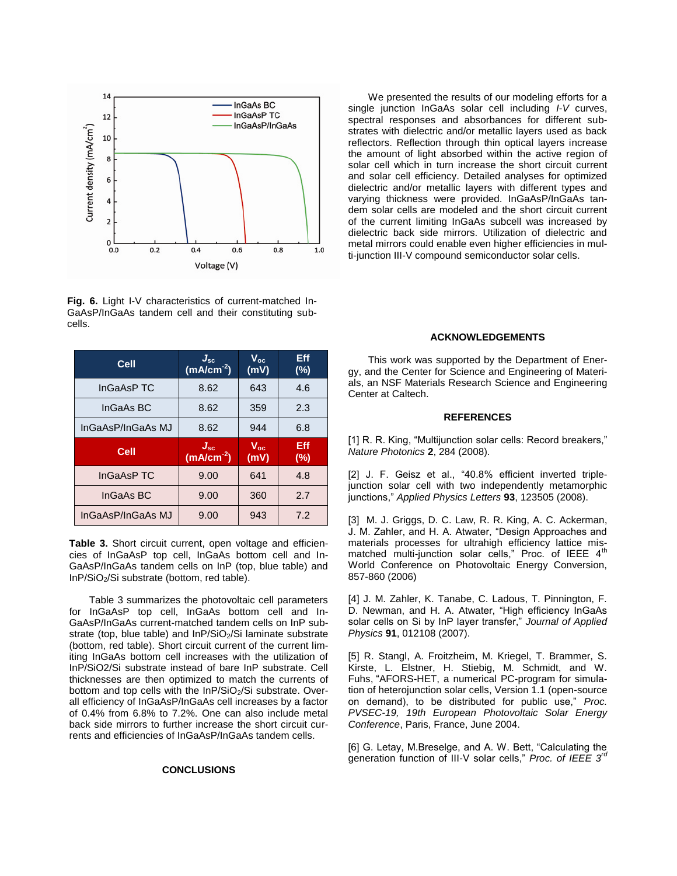

**Fig. 6.** Light I-V characteristics of current-matched In-GaAsP/InGaAs tandem cell and their constituting subcells.

| Cell              | $J_{\rm sc}$ (mA/cm $^{-2}$ ) | $\mathsf{V}_{\mathsf{oc}}$<br>(mV) | Eff<br>$(\%)$ |
|-------------------|-------------------------------|------------------------------------|---------------|
| InGaAsP TC        | 8.62                          | 643                                | 4.6           |
| InGaAs BC         | 8.62                          | 359                                | 2.3           |
| InGaAsP/InGaAs MJ | 8.62                          | 944                                | 6.8           |
|                   |                               |                                    |               |
| <b>Cell</b>       | $J_{\rm sc}$<br>$(mA/cm-2)$   | $V_{oc}$<br>(mV)                   | Eff<br>(%)    |
| InGaAsP TC        | 9.00                          | 641                                | 4.8           |
| InGaAs BC         | 9.00                          | 360                                | 2.7           |

**Table 3.** Short circuit current, open voltage and efficiencies of InGaAsP top cell, InGaAs bottom cell and In-GaAsP/InGaAs tandem cells on InP (top, blue table) and InP/SiO2/Si substrate (bottom, red table).

Table 3 summarizes the photovoltaic cell parameters for InGaAsP top cell, InGaAs bottom cell and In-GaAsP/InGaAs current-matched tandem cells on InP substrate (top, blue table) and  $InP/SiO<sub>2</sub>/Si$  laminate substrate (bottom, red table). Short circuit current of the current limiting InGaAs bottom cell increases with the utilization of InP/SiO2/Si substrate instead of bare InP substrate. Cell thicknesses are then optimized to match the currents of bottom and top cells with the InP/SiO<sub>2</sub>/Si substrate. Overall efficiency of InGaAsP/InGaAs cell increases by a factor of 0.4% from 6.8% to 7.2%. One can also include metal back side mirrors to further increase the short circuit currents and efficiencies of InGaAsP/InGaAs tandem cells.

### **CONCLUSIONS**

We presented the results of our modeling efforts for a single junction InGaAs solar cell including *I*-*V* curves, spectral responses and absorbances for different substrates with dielectric and/or metallic layers used as back reflectors. Reflection through thin optical layers increase the amount of light absorbed within the active region of solar cell which in turn increase the short circuit current and solar cell efficiency. Detailed analyses for optimized dielectric and/or metallic layers with different types and varying thickness were provided. InGaAsP/InGaAs tandem solar cells are modeled and the short circuit current of the current limiting InGaAs subcell was increased by dielectric back side mirrors. Utilization of dielectric and metal mirrors could enable even higher efficiencies in multi-junction III-V compound semiconductor solar cells.

### **ACKNOWLEDGEMENTS**

This work was supported by the Department of Energy, and the Center for Science and Engineering of Materials, an NSF Materials Research Science and Engineering Center at Caltech.

#### **REFERENCES**

[1] R. R. King, "Multijunction solar cells: Record breakers," *Nature Photonics* **2**, 284 (2008).

[2] J. F. Geisz et al., "40.8% efficient inverted triplejunction solar cell with two independently metamorphic junctions," *Applied Physics Letters* **93**, 123505 (2008).

[3] M. J. Griggs, D. C. Law, R. R. King, A. C. Ackerman, J. M. Zahler, and H. A. Atwater, "Design Approaches and materials processes for ultrahigh efficiency lattice mismatched multi-junction solar cells," Proc. of IEEE  $4<sup>th</sup>$ World Conference on Photovoltaic Energy Conversion, 857-860 (2006)

[4] J. M. Zahler, K. Tanabe, C. Ladous, T. Pinnington, F. D. Newman, and H. A. Atwater, "High efficiency InGaAs solar cells on Si by InP layer transfer," *Journal of Applied Physics* **91**, 012108 (2007).

[5] R. Stangl, A. Froitzheim, M. Kriegel, T. Brammer, S. Kirste, L. Elstner, H. Stiebig, M. Schmidt, and W. Fuhs, "AFORS-HET, a numerical PC-program for simulation of heterojunction solar cells, Version 1.1 (open-source on demand), to be distributed for public use," *Proc. PVSEC-19, 19th European Photovoltaic Solar Energy Conference*, Paris, France, June 2004.

[6] G. Letay, M.Breselge, and A. W. Bett, "Calculating the generation function of III-V solar cells," *Proc. of IEEE 3rd*